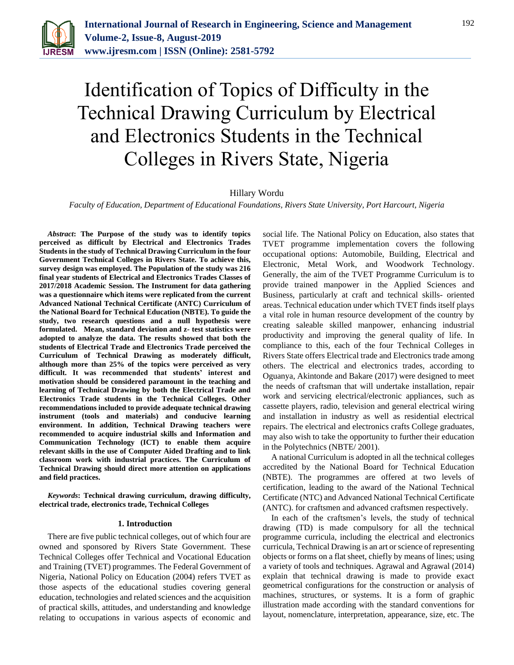

# Identification of Topics of Difficulty in the Technical Drawing Curriculum by Electrical and Electronics Students in the Technical Colleges in Rivers State, Nigeria

### Hillary Wordu

*Faculty of Education, Department of Educational Foundations, Rivers State University, Port Harcourt, Nigeria*

*Abstract***: The Purpose of the study was to identify topics perceived as difficult by Electrical and Electronics Trades Students in the study of Technical Drawing Curriculum in the four Government Technical Colleges in Rivers State. To achieve this, survey design was employed. The Population of the study was 216 final year students of Electrical and Electronics Trades Classes of 2017/2018 Academic Session. The Instrument for data gathering was a questionnaire which items were replicated from the current Advanced National Technical Certificate (ANTC) Curriculum of the National Board for Technical Education (NBTE). To guide the study, two research questions and a null hypothesis were formulated. Mean, standard deviation and z- test statistics were adopted to analyze the data. The results showed that both the students of Electrical Trade and Electronics Trade perceived the Curriculum of Technical Drawing as moderately difficult, although more than 25% of the topics were perceived as very difficult. It was recommended that students' interest and motivation should be considered paramount in the teaching and learning of Technical Drawing by both the Electrical Trade and Electronics Trade students in the Technical Colleges. Other recommendations included to provide adequate technical drawing instrument (tools and materials) and conducive learning environment. In addition, Technical Drawing teachers were recommended to acquire industrial skills and Information and Communication Technology (ICT) to enable them acquire relevant skills in the use of Computer Aided Drafting and to link classroom work with industrial practices. The Curriculum of Technical Drawing should direct more attention on applications and field practices.**

*Keywords***: Technical drawing curriculum, drawing difficulty, electrical trade, electronics trade, Technical Colleges**

### **1. Introduction**

There are five public technical colleges, out of which four are owned and sponsored by Rivers State Government. These Technical Colleges offer Technical and Vocational Education and Training (TVET) programmes. The Federal Government of Nigeria, National Policy on Education (2004) refers TVET as those aspects of the educational studies covering general education, technologies and related sciences and the acquisition of practical skills, attitudes, and understanding and knowledge relating to occupations in various aspects of economic and social life. The National Policy on Education, also states that TVET programme implementation covers the following occupational options: Automobile, Building, Electrical and Electronic, Metal Work, and Woodwork Technology. Generally, the aim of the TVET Programme Curriculum is to provide trained manpower in the Applied Sciences and Business, particularly at craft and technical skills- oriented areas. Technical education under which TVET finds itself plays a vital role in human resource development of the country by creating saleable skilled manpower, enhancing industrial productivity and improving the general quality of life. In compliance to this, each of the four Technical Colleges in Rivers State offers Electrical trade and Electronics trade among others. The electrical and electronics trades, according to Oguanya, Akintonde and Bakare (2017) were designed to meet the needs of craftsman that will undertake installation, repair work and servicing electrical/electronic appliances, such as cassette players, radio, television and general electrical wiring and installation in industry as well as residential electrical repairs. The electrical and electronics crafts College graduates, may also wish to take the opportunity to further their education in the Polytechnics (NBTE/ 2001).

A national Curriculum is adopted in all the technical colleges accredited by the National Board for Technical Education (NBTE). The programmes are offered at two levels of certification, leading to the award of the National Technical Certificate (NTC) and Advanced National Technical Certificate (ANTC). for craftsmen and advanced craftsmen respectively.

In each of the craftsmen's levels, the study of technical drawing (TD) is made compulsory for all the technical programme curricula, including the electrical and electronics curricula, Technical Drawing is an art or science of representing objects or forms on a flat sheet, chiefly by means of lines; using a variety of tools and techniques. Agrawal and Agrawal (2014) explain that technical drawing is made to provide exact geometrical configurations for the construction or analysis of machines, structures, or systems. It is a form of graphic illustration made according with the standard conventions for layout, nomenclature, interpretation, appearance, size, etc. The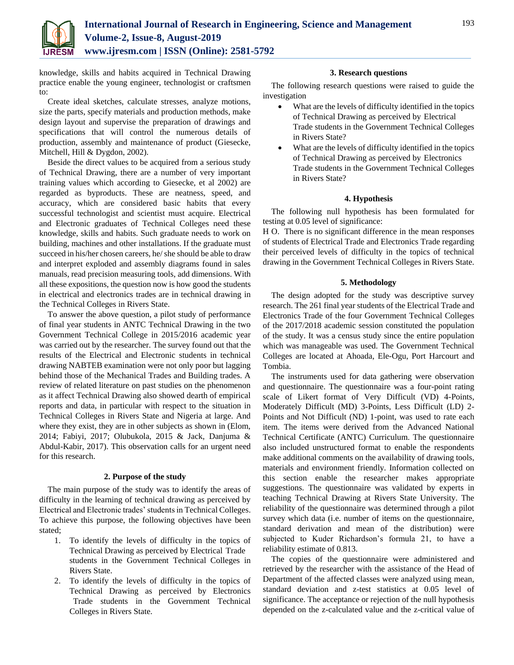

knowledge, skills and habits acquired in Technical Drawing practice enable the young engineer, technologist or craftsmen to:

Create ideal sketches, calculate stresses, analyze motions, size the parts, specify materials and production methods, make design layout and supervise the preparation of drawings and specifications that will control the numerous details of production, assembly and maintenance of product (Giesecke, Mitchell, Hill & Dygdon, 2002).

Beside the direct values to be acquired from a serious study of Technical Drawing, there are a number of very important training values which according to Giesecke, et al 2002) are regarded as byproducts. These are neatness, speed, and accuracy, which are considered basic habits that every successful technologist and scientist must acquire. Electrical and Electronic graduates of Technical Colleges need these knowledge, skills and habits. Such graduate needs to work on building, machines and other installations. If the graduate must succeed in his/her chosen careers, he/ she should be able to draw and interpret exploded and assembly diagrams found in sales manuals, read precision measuring tools, add dimensions. With all these expositions, the question now is how good the students in electrical and electronics trades are in technical drawing in the Technical Colleges in Rivers State.

To answer the above question, a pilot study of performance of final year students in ANTC Technical Drawing in the two Government Technical College in 2015/2016 academic year was carried out by the researcher. The survey found out that the results of the Electrical and Electronic students in technical drawing NABTEB examination were not only poor but lagging behind those of the Mechanical Trades and Building trades. A review of related literature on past studies on the phenomenon as it affect Technical Drawing also showed dearth of empirical reports and data, in particular with respect to the situation in Technical Colleges in Rivers State and Nigeria at large. And where they exist, they are in other subjects as shown in (Elom, 2014; Fabiyi, 2017; Olubukola, 2015 & Jack, Danjuma & Abdul-Kabir, 2017). This observation calls for an urgent need for this research.

### **2. Purpose of the study**

The main purpose of the study was to identify the areas of difficulty in the learning of technical drawing as perceived by Electrical and Electronic trades' students in Technical Colleges. To achieve this purpose, the following objectives have been stated;

- 1. To identify the levels of difficulty in the topics of Technical Drawing as perceived by Electrical Trade students in the Government Technical Colleges in Rivers State.
- 2. To identify the levels of difficulty in the topics of Technical Drawing as perceived by Electronics Trade students in the Government Technical Colleges in Rivers State.

### **3. Research questions**

The following research questions were raised to guide the investigation

- What are the levels of difficulty identified in the topics of Technical Drawing as perceived by Electrical Trade students in the Government Technical Colleges in Rivers State?
- What are the levels of difficulty identified in the topics of Technical Drawing as perceived by Electronics Trade students in the Government Technical Colleges in Rivers State?

### **4. Hypothesis**

The following null hypothesis has been formulated for testing at 0.05 level of significance:

H O. There is no significant difference in the mean responses of students of Electrical Trade and Electronics Trade regarding their perceived levels of difficulty in the topics of technical drawing in the Government Technical Colleges in Rivers State.

### **5. Methodology**

The design adopted for the study was descriptive survey research. The 261 final year students of the Electrical Trade and Electronics Trade of the four Government Technical Colleges of the 2017/2018 academic session constituted the population of the study. It was a census study since the entire population which was manageable was used. The Government Technical Colleges are located at Ahoada, Ele-Ogu, Port Harcourt and Tombia.

The instruments used for data gathering were observation and questionnaire. The questionnaire was a four-point rating scale of Likert format of Very Difficult (VD) 4-Points, Moderately Difficult (MD) 3-Points, Less Difficult (LD) 2- Points and Not Difficult (ND) 1-point, was used to rate each item. The items were derived from the Advanced National Technical Certificate (ANTC) Curriculum. The questionnaire also included unstructured format to enable the respondents make additional comments on the availability of drawing tools, materials and environment friendly. Information collected on this section enable the researcher makes appropriate suggestions. The questionnaire was validated by experts in teaching Technical Drawing at Rivers State University. The reliability of the questionnaire was determined through a pilot survey which data (i.e. number of items on the questionnaire, standard derivation and mean of the distribution) were subjected to Kuder Richardson's formula 21, to have a reliability estimate of 0.813.

The copies of the questionnaire were administered and retrieved by the researcher with the assistance of the Head of Department of the affected classes were analyzed using mean, standard deviation and z-test statistics at 0.05 level of significance. The acceptance or rejection of the null hypothesis depended on the z-calculated value and the z-critical value of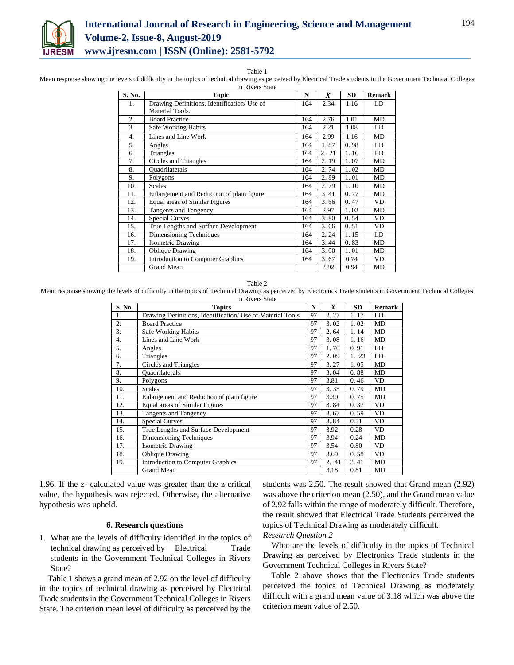

## **International Journal of Research in Engineering, Science and Management Volume-2, Issue-8, August-2019 www.ijresm.com | ISSN (Online): 2581-5792**

Table 1

Mean response showing the levels of difficulty in the topics of technical drawing as perceived by Electrical Trade students in the Government Technical Colleges

| S. No.           | <b>Topic</b>                                | N   | $\overline{X}$ | <b>SD</b> | <b>Remark</b> |
|------------------|---------------------------------------------|-----|----------------|-----------|---------------|
| 1.               | Drawing Definitions, Identification/ Use of | 164 | 2.34           | 1.16      | LD            |
|                  | Material Tools.                             |     |                |           |               |
| 2.               | <b>Board Practice</b>                       | 164 | 2.76           | 1.01      | MD            |
| 3.               | <b>Safe Working Habits</b>                  | 164 | 2.21           | 1.08      | LD            |
| $\overline{4}$ . | Lines and Line Work                         | 164 | 2.99           | 1.16      | MD            |
| 5.               | Angles                                      | 164 | 1.87           | 0.98      | LD            |
| 6.               | Triangles                                   | 164 | 2.21           | 1.16      | LD            |
| 7.               | Circles and Triangles                       | 164 | 2.19           | 1.07      | MD            |
| 8.               | <b>Ouadrilaterals</b>                       | 164 | 2.74           | 1.02      | MD            |
| 9.               | Polygons                                    | 164 | 2.89           | 1.01      | MD            |
| 10.              | <b>Scales</b>                               | 164 | 2.79           | 1.10      | MD            |
| 11.              | Enlargement and Reduction of plain figure   | 164 | 3.41           | 0.77      | MD            |
| 12.              | Equal areas of Similar Figures              |     | 3.66           | 0.47      | <b>VD</b>     |
| 13.              | <b>Tangents and Tangency</b>                | 164 | 2.97           | 1.02      | MD            |
| 14.              | <b>Special Curves</b>                       | 164 | 3.80           | 0.54      | VD            |
| 15.              | True Lengths and Surface Development        | 164 | 3.66           | 0.51      | VD            |
| 16.              | Dimensioning Techniques                     | 164 | 2.24           | 1.15      | LD            |
| 17.              | <b>Isometric Drawing</b>                    | 164 | 3.44           | 0.83      | MD            |
| 18.              | <b>Oblique Drawing</b>                      | 164 | 3.00           | 1.01      | MD            |
| 19.              | <b>Introduction to Computer Graphics</b>    | 164 | 3.67           | 0.74      | VD            |
|                  | <b>Grand Mean</b>                           |     | 2.92           | 0.94      | MD            |

#### Table 2

Mean response showing the levels of difficulty in the topics of Technical Drawing as perceived by Electronics Trade students in Government Technical Colleges in Rivers State

| S. No.           | <b>Topics</b>                                               | N  | $\overline{\bm{X}}$ | <b>SD</b> | <b>Remark</b> |  |
|------------------|-------------------------------------------------------------|----|---------------------|-----------|---------------|--|
| 1.               | Drawing Definitions, Identification/ Use of Material Tools. | 97 | 2.27                | 1.17      | LD            |  |
| 2.               | <b>Board Practice</b>                                       | 97 | 3.02                | 1.02      | MD            |  |
| 3.               | Safe Working Habits                                         | 97 | 2.64                | 1.14      | MD            |  |
| $\overline{4}$ . | Lines and Line Work                                         | 97 | 3.08                | 1.16      | MD            |  |
| 5.               | Angles                                                      | 97 | 1.70                | 0.91      | LD            |  |
| 6.               | Triangles                                                   | 97 | 2.09                | 1. 23     | LD            |  |
| 7.               | Circles and Triangles                                       | 97 | 3.27                | 1.05      | MD            |  |
| 8.               | <b>Ouadrilaterals</b>                                       | 97 | 3.04                | 0.88      | MD            |  |
| 9.               | Polygons                                                    | 97 | 3.81                | 0.46      | VD.           |  |
| 10.              | <b>Scales</b>                                               | 97 | 3.35                | 0.79      | MD            |  |
| 11.              | Enlargement and Reduction of plain figure                   | 97 | 3.30                | 0.75      | MD            |  |
| 12.              | <b>Equal areas of Similar Figures</b>                       | 97 | 3.84                | 0.37      | <b>VD</b>     |  |
| 13.              | <b>Tangents and Tangency</b>                                | 97 | 3.67                | 0.59      | VD.           |  |
| 14.              | <b>Special Curves</b>                                       | 97 | 3.84                | 0.51      | <b>VD</b>     |  |
| 15.              | True Lengths and Surface Development                        | 97 | 3.92                | 0.28      | <b>VD</b>     |  |
| 16.              | Dimensioning Techniques                                     | 97 | 3.94                | 0.24      | MD            |  |
| 17.              | <b>Isometric Drawing</b>                                    | 97 | 3.54                | 0.80      | VD.           |  |
| 18.              | <b>Oblique Drawing</b>                                      | 97 | 3.69                | 0.58      | <b>VD</b>     |  |
| 19.              | <b>Introduction to Computer Graphics</b>                    | 97 | 2. 41               | 2.41      | MD            |  |
|                  | <b>Grand Mean</b>                                           |    | 3.18                | 0.81      | MD            |  |

1.96. If the z- calculated value was greater than the z-critical value, the hypothesis was rejected. Otherwise, the alternative hypothesis was upheld.

### **6. Research questions**

1. What are the levels of difficulty identified in the topics of technical drawing as perceived by Electrical Trade students in the Government Technical Colleges in Rivers State?

Table 1 shows a grand mean of 2.92 on the level of difficulty in the topics of technical drawing as perceived by Electrical Trade students in the Government Technical Colleges in Rivers State. The criterion mean level of difficulty as perceived by the students was 2.50. The result showed that Grand mean (2.92) was above the criterion mean (2.50), and the Grand mean value of 2.92 falls within the range of moderately difficult. Therefore, the result showed that Electrical Trade Students perceived the topics of Technical Drawing as moderately difficult. *Research Question 2*

What are the levels of difficulty in the topics of Technical Drawing as perceived by Electronics Trade students in the Government Technical Colleges in Rivers State?

Table 2 above shows that the Electronics Trade students perceived the topics of Technical Drawing as moderately difficult with a grand mean value of 3.18 which was above the criterion mean value of 2.50.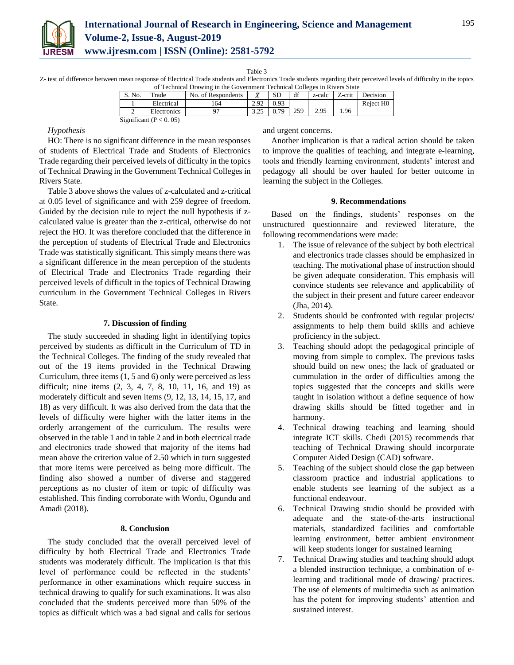

Table 3

Z- test of difference between mean response of Electrical Trade students and Electronics Trade students regarding their perceived levels of difficulty in the topics of Technical Drawing in the Government Technical Colleges in Rivers State

| S. No. | Trade                      | No. of Respondents | $\overline{r}$<br>∡ | $_{\rm cn}$<br>עפ | df  | z-calc        | $\sim$<br>Z-crit | Decision              |
|--------|----------------------------|--------------------|---------------------|-------------------|-----|---------------|------------------|-----------------------|
|        | Electrical                 | 164                | 2.92                | 0.93              |     |               |                  | Reject H <sub>0</sub> |
| ∸      | Electronics                | $^{\alpha}$        | $\Omega$<br>ر _ _   | 79                | 259 | 2.95<br>ر د پ | 1.96             |                       |
|        | Significant ( $P < 0.05$ ) |                    |                     |                   |     |               |                  |                       |

### *Hypothesis*

HO: There is no significant difference in the mean responses of students of Electrical Trade and Students of Electronics Trade regarding their perceived levels of difficulty in the topics of Technical Drawing in the Government Technical Colleges in Rivers State.

Table 3 above shows the values of z-calculated and z-critical at 0.05 level of significance and with 259 degree of freedom. Guided by the decision rule to reject the null hypothesis if zcalculated value is greater than the z-critical, otherwise do not reject the HO. It was therefore concluded that the difference in the perception of students of Electrical Trade and Electronics Trade was statistically significant. This simply means there was a significant difference in the mean perception of the students of Electrical Trade and Electronics Trade regarding their perceived levels of difficult in the topics of Technical Drawing curriculum in the Government Technical Colleges in Rivers State.

### **7. Discussion of finding**

The study succeeded in shading light in identifying topics perceived by students as difficult in the Curriculum of TD in the Technical Colleges. The finding of the study revealed that out of the 19 items provided in the Technical Drawing Curriculum, three items (1, 5 and 6) only were perceived as less difficult; nine items (2, 3, 4, 7, 8, 10, 11, 16, and 19) as moderately difficult and seven items (9, 12, 13, 14, 15, 17, and 18) as very difficult. It was also derived from the data that the levels of difficulty were higher with the latter items in the orderly arrangement of the curriculum. The results were observed in the table 1 and in table 2 and in both electrical trade and electronics trade showed that majority of the items had mean above the criterion value of 2.50 which in turn suggested that more items were perceived as being more difficult. The finding also showed a number of diverse and staggered perceptions as no cluster of item or topic of difficulty was established. This finding corroborate with Wordu, Ogundu and Amadi (2018).

### **8. Conclusion**

The study concluded that the overall perceived level of difficulty by both Electrical Trade and Electronics Trade students was moderately difficult. The implication is that this level of performance could be reflected in the students' performance in other examinations which require success in technical drawing to qualify for such examinations. It was also concluded that the students perceived more than 50% of the topics as difficult which was a bad signal and calls for serious and urgent concerns.

Another implication is that a radical action should be taken to improve the qualities of teaching, and integrate e-learning, tools and friendly learning environment, students' interest and pedagogy all should be over hauled for better outcome in learning the subject in the Colleges.

### **9. Recommendations**

Based on the findings, students' responses on the unstructured questionnaire and reviewed literature, the following recommendations were made:

- 1. The issue of relevance of the subject by both electrical and electronics trade classes should be emphasized in teaching. The motivational phase of instruction should be given adequate consideration. This emphasis will convince students see relevance and applicability of the subject in their present and future career endeavor (Jha, 2014).
- 2. Students should be confronted with regular projects/ assignments to help them build skills and achieve proficiency in the subject.
- 3. Teaching should adopt the pedagogical principle of moving from simple to complex. The previous tasks should build on new ones; the lack of graduated or cummulation in the order of difficulties among the topics suggested that the concepts and skills were taught in isolation without a define sequence of how drawing skills should be fitted together and in harmony.
- 4. Technical drawing teaching and learning should integrate ICT skills. Chedi (2015) recommends that teaching of Technical Drawing should incorporate Computer Aided Design (CAD) software.
- 5. Teaching of the subject should close the gap between classroom practice and industrial applications to enable students see learning of the subject as a functional endeavour.
- 6. Technical Drawing studio should be provided with adequate and the state-of-the-arts instructional materials, standardized facilities and comfortable learning environment, better ambient environment will keep students longer for sustained learning
- 7. Technical Drawing studies and teaching should adopt a blended instruction technique, a combination of elearning and traditional mode of drawing/ practices. The use of elements of multimedia such as animation has the potent for improving students' attention and sustained interest.